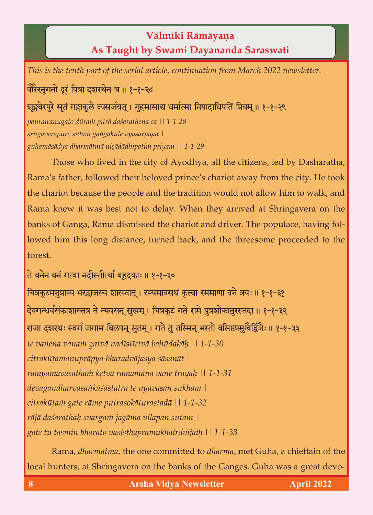## **Välméki Rämäyaëa As Taught by Swami Dayananda Saraswati**

*This is the tenth part of the serial article, continuation from March 2022 newsletter.*

पोरैरनुगतो दूरं पित्रा दशरथेन च ॥ १-१-२८

शृङ्गवेरपुरे सूतं गङ्गाकूले व्यसर्जयत् । गृहमासाद्य धर्मात्मा निषादाधिपतिं प्रियम् ॥ १-१-२९

*paurairanugato düraà piträ daçarathena ca || 1-1-28 çåìgaverapure sütaà gaìgäküle vyasarjayat | guhamäsädya dharmätmä niñädädhipatià priyam || 1-1-29*

Those who lived in the city of Ayodhya, all the citizens, led by Dasharatha, Rama's father, followed their beloved prince's chariot away from the city. He took the chariot because the people and the tradition would not allow him to walk, and<br>Rama knew it was best not to delay. When they arrived at Shringavera on the  $\alpha$  knew it was best not to delay. When they arrived at  $\alpha$ banks of Ganga, Rama dismissed the chariot and driver. The populace, having followed him this long distance, turned back, and the threesome proceeded to the forest. forest.

ते वनेन वनं गत्वा नदीस्तीत्वां बहृदकाः ॥ १-१-३०

चित्रकूटमनुप्राप्य भरद्वाजस्य शासनात् । रम्यमावसथं कृत्वा रममाणा वने त्रयः ॥ १-१-३१ देवगन्धर्वसंकाशास्तत्र ते न्यवसन् सुखम् । चित्रकूटं गते रामे पुत्रशोकातुरस्तदा ॥ १-१-३२ राजा दशरथः स्वर्गं जगाम विलपन् सुतम् । गते तु तस्मिन् भरतो वसिष्ठप्रमुखैर्द्विजैः ॥ १-१-३३ *te vanena vanaà gatvä nadéstértvä bahüdakäù || 1-1-30 citraküöamanupräpya bharadväjasya çäsanät | ramyamävasathaà kåtvä ramamäëä vane trayaù || 1-1-31 devagandharvasaìkäçästatra te nyavasan sukham | citraküöaà gate räme putraçokäturastadä || 1-1-32 räjä daçarathaù svargaà jagäma vilapan sutam | gate tu tasmin bharato vasiñöhapramukhairdvijaiù || 1-1-33*

Rama, *dharmätmä*, the one committed to *dharma*, met Guha, a chieftain of the local hunters, at Shringavera on the banks of the Ganges. Guha was a great devo-